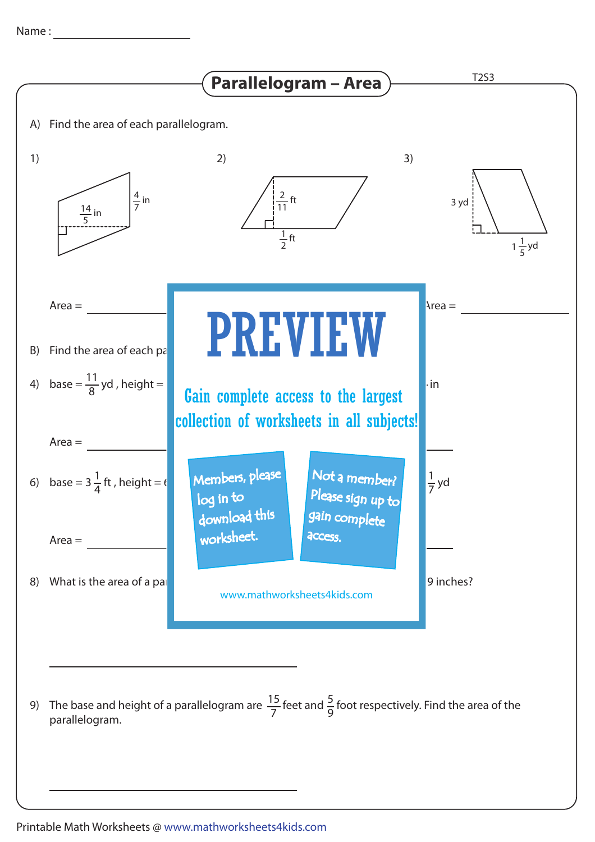